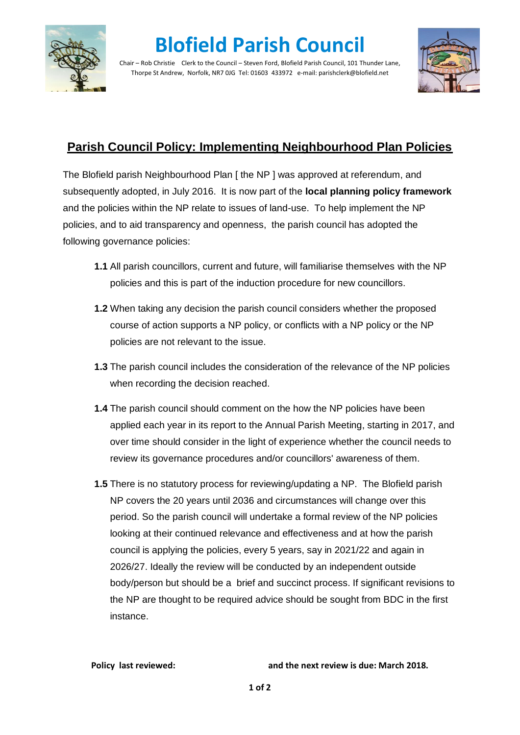

## **Blofield Parish Council**

Chair – Rob Christie Clerk to the Council – Steven Ford, Blofield Parish Council, 101 Thunder Lane, Thorpe St Andrew, Norfolk, NR7 0JG Tel: 01603 433972 e-mail: parishclerk@blofield.net



## **Parish Council Policy: Implementing Neighbourhood Plan Policies**

The Blofield parish Neighbourhood Plan [the NP ] was approved at referendum, and subsequently adopted, in July 2016. It is now part of the **local planning policy framework** and the policies within the NP relate to issues of land-use. To help implement the NP policies, and to aid transparency and openness, the parish council has adopted the following governance policies:

- **1.1** All parish councillors, current and future, will familiarise themselves with the NP policies and this is part of the induction procedure for new councillors.
- **1.2** When taking any decision the parish council considers whether the proposed course of action supports a NP policy, or conflicts with a NP policy or the NP policies are not relevant to the issue.
- **1.3** The parish council includes the consideration of the relevance of the NP policies when recording the decision reached.
- **1.4** The parish council should comment on the how the NP policies have been applied each year in its report to the Annual Parish Meeting, starting in 2017, and over time should consider in the light of experience whether the council needs to review its governance procedures and/or councillors' awareness of them.
- **1.5** There is no statutory process for reviewing/updating a NP. The Blofield parish NP covers the 20 years until 2036 and circumstances will change over this period. So the parish council will undertake a formal review of the NP policies looking at their continued relevance and effectiveness and at how the parish council is applying the policies, every 5 years, say in 2021/22 and again in 2026/27. Ideally the review will be conducted by an independent outside body/person but should be a brief and succinct process. If significant revisions to the NP are thought to be required advice should be sought from BDC in the first instance.

**Policy last reviewed: and the next review is due: March 2018.**